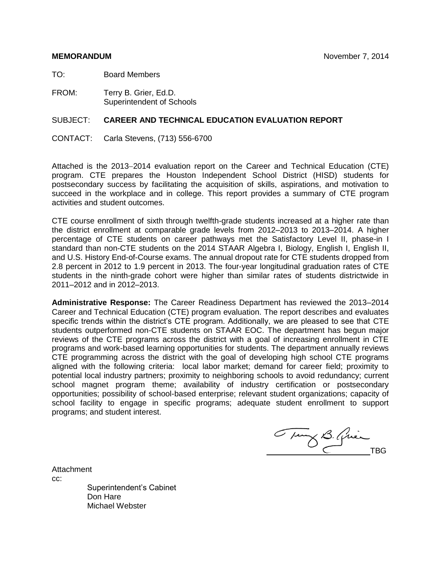TO: Board Members

FROM: Terry B. Grier, Ed.D. Superintendent of Schools

### SUBJECT: **CAREER AND TECHNICAL EDUCATION EVALUATION REPORT**

CONTACT: Carla Stevens, (713) 556-6700

Attached is the 2013-2014 evaluation report on the Career and Technical Education (CTE) program. CTE prepares the Houston Independent School District (HISD) students for postsecondary success by facilitating the acquisition of skills, aspirations, and motivation to succeed in the workplace and in college. This report provides a summary of CTE program activities and student outcomes.

CTE course enrollment of sixth through twelfth-grade students increased at a higher rate than the district enrollment at comparable grade levels from 2012–2013 to 2013–2014. A higher percentage of CTE students on career pathways met the Satisfactory Level II, phase-in I standard than non-CTE students on the 2014 STAAR Algebra I, Biology, English I, English II, and U.S. History End-of-Course exams. The annual dropout rate for CTE students dropped from 2.8 percent in 2012 to 1.9 percent in 2013. The four-year longitudinal graduation rates of CTE students in the ninth-grade cohort were higher than similar rates of students districtwide in 2011–2012 and in 2012–2013.

**Administrative Response:** The Career Readiness Department has reviewed the 2013–2014 Career and Technical Education (CTE) program evaluation. The report describes and evaluates specific trends within the district's CTE program. Additionally, we are pleased to see that CTE students outperformed non-CTE students on STAAR EOC. The department has begun major reviews of the CTE programs across the district with a goal of increasing enrollment in CTE programs and work-based learning opportunities for students. The department annually reviews CTE programming across the district with the goal of developing high school CTE programs aligned with the following criteria: local labor market; demand for career field; proximity to potential local industry partners; proximity to neighboring schools to avoid redundancy; current school magnet program theme; availability of industry certification or postsecondary opportunities; possibility of school-based enterprise; relevant student organizations; capacity of school facility to engage in specific programs; adequate student enrollment to support programs; and student interest.

Tury B. Quien

Attachment cc: Superintendent's Cabinet Don Hare Michael Webster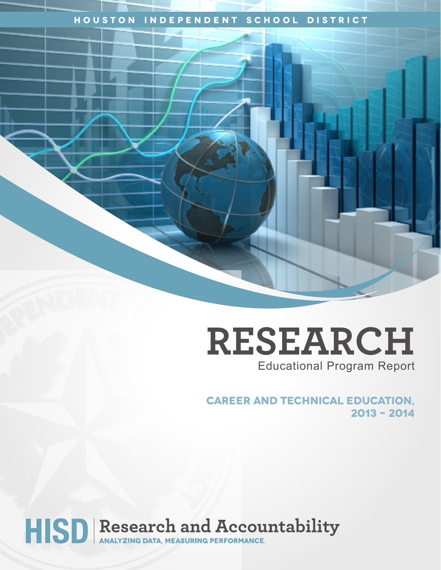# **Houston Independent School District**

**RESEARCH** Educational Program Report

**Career and Technical Education, 2013 – 2014** 

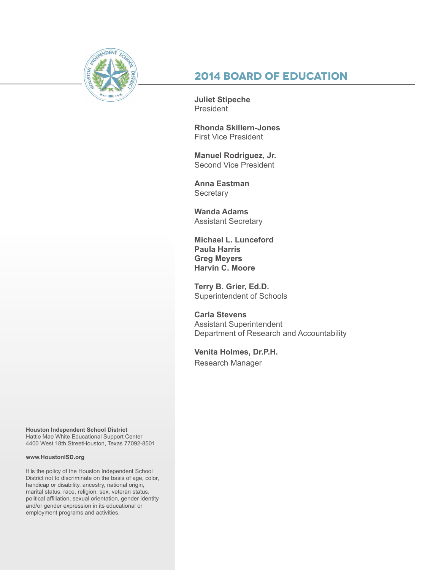

# **2014 Board of Education**

**Juliet Stipeche President** 

**Rhonda Skillern-Jones** First Vice President

**Manuel Rodriguez, Jr.** Second Vice President

**Anna Eastman Secretary** 

**Wanda Adams** Assistant Secretary

**Michael L. Lunceford Paula Harris Greg Meyers Harvin C. Moore**

**Terry B. Grier, Ed.D.** Superintendent of Schools

**Carla Stevens** Assistant Superintendent Department of Research and Accountability

**Venita Holmes, Dr.P.H.** Research Manager

**Houston Independent School District** Hattie Mae White Educational Support Center 4400 West 18th StreetHouston, Texas 77092-8501

#### **www.HoustonISD.org**

It is the policy of the Houston Independent School District not to discriminate on the basis of age, color, handicap or disability, ancestry, national origin, marital status, race, religion, sex, veteran status, political affiliation, sexual orientation, gender identity and/or gender expression in its educational or employment programs and activities.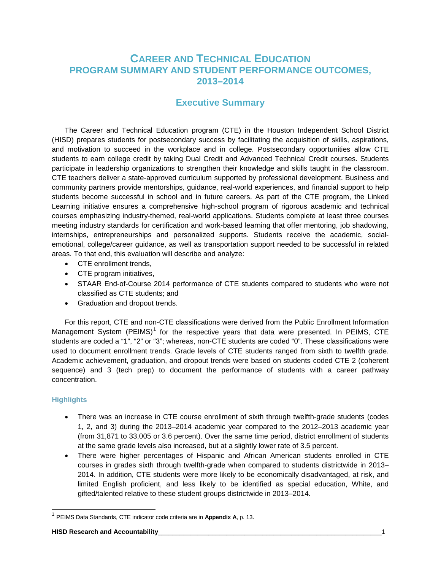# **CAREER AND TECHNICAL EDUCATION PROGRAM SUMMARY AND STUDENT PERFORMANCE OUTCOMES, 2013–2014**

# **Executive Summary**

The Career and Technical Education program (CTE) in the Houston Independent School District (HISD) prepares students for postsecondary success by facilitating the acquisition of skills, aspirations, and motivation to succeed in the workplace and in college. Postsecondary opportunities allow CTE students to earn college credit by taking Dual Credit and Advanced Technical Credit courses. Students participate in leadership organizations to strengthen their knowledge and skills taught in the classroom. CTE teachers deliver a state-approved curriculum supported by professional development. Business and community partners provide mentorships, guidance, real-world experiences, and financial support to help students become successful in school and in future careers. As part of the CTE program, the Linked Learning initiative ensures a comprehensive high-school program of rigorous academic and technical courses emphasizing industry-themed, real-world applications. Students complete at least three courses meeting industry standards for certification and work-based learning that offer mentoring, job shadowing, internships, entrepreneurships and personalized supports. Students receive the academic, socialemotional, college/career guidance, as well as transportation support needed to be successful in related areas. To that end, this evaluation will describe and analyze:

- CTE enrollment trends,
- CTE program initiatives,
- STAAR End-of-Course 2014 performance of CTE students compared to students who were not classified as CTE students; and
- Graduation and dropout trends.

For this report, CTE and non-CTE classifications were derived from the Public Enrollment Information Management System  $(PEIMS)^1$  $(PEIMS)^1$  for the respective years that data were presented. In PEIMS, CTE students are coded a "1", "2" or "3"; whereas, non-CTE students are coded "0". These classifications were used to document enrollment trends. Grade levels of CTE students ranged from sixth to twelfth grade. Academic achievement, graduation, and dropout trends were based on students coded CTE 2 (coherent sequence) and 3 (tech prep) to document the performance of students with a career pathway concentration.

#### **Highlights**

j

- There was an increase in CTE course enrollment of sixth through twelfth-grade students (codes 1, 2, and 3) during the 2013–2014 academic year compared to the 2012–2013 academic year (from 31,871 to 33,005 or 3.6 percent). Over the same time period, district enrollment of students at the same grade levels also increased, but at a slightly lower rate of 3.5 percent.
- There were higher percentages of Hispanic and African American students enrolled in CTE courses in grades sixth through twelfth-grade when compared to students districtwide in 2013– 2014. In addition, CTE students were more likely to be economically disadvantaged, at risk, and limited English proficient, and less likely to be identified as special education, White, and gifted/talented relative to these student groups districtwide in 2013–2014.

<span id="page-3-0"></span><sup>1</sup> PEIMS Data Standards, CTE indicator code criteria are in **Appendix A**, p. 13.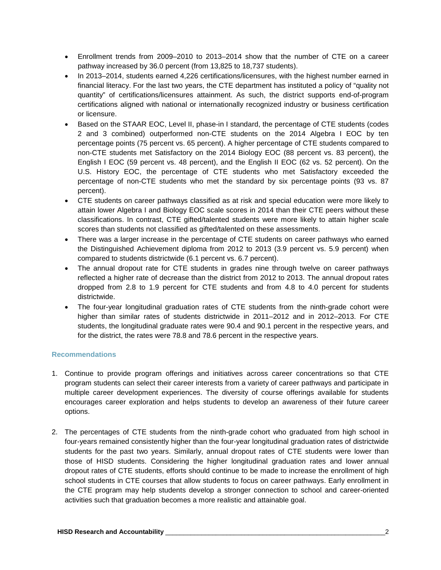- Enrollment trends from 2009–2010 to 2013–2014 show that the number of CTE on a career pathway increased by 36.0 percent (from 13,825 to 18,737 students).
- In 2013–2014, students earned 4,226 certifications/licensures, with the highest number earned in financial literacy. For the last two years, the CTE department has instituted a policy of "quality not quantity" of certifications/licensures attainment. As such, the district supports end-of-program certifications aligned with national or internationally recognized industry or business certification or licensure.
- Based on the STAAR EOC, Level II, phase-in I standard, the percentage of CTE students (codes 2 and 3 combined) outperformed non-CTE students on the 2014 Algebra I EOC by ten percentage points (75 percent vs. 65 percent). A higher percentage of CTE students compared to non-CTE students met Satisfactory on the 2014 Biology EOC (88 percent vs. 83 percent), the English I EOC (59 percent vs. 48 percent), and the English II EOC (62 vs. 52 percent). On the U.S. History EOC, the percentage of CTE students who met Satisfactory exceeded the percentage of non-CTE students who met the standard by six percentage points (93 vs. 87 percent).
- CTE students on career pathways classified as at risk and special education were more likely to attain lower Algebra I and Biology EOC scale scores in 2014 than their CTE peers without these classifications. In contrast, CTE gifted/talented students were more likely to attain higher scale scores than students not classified as gifted/talented on these assessments.
- There was a larger increase in the percentage of CTE students on career pathways who earned the Distinguished Achievement diploma from 2012 to 2013 (3.9 percent vs. 5.9 percent) when compared to students districtwide (6.1 percent vs. 6.7 percent).
- The annual dropout rate for CTE students in grades nine through twelve on career pathways reflected a higher rate of decrease than the district from 2012 to 2013. The annual dropout rates dropped from 2.8 to 1.9 percent for CTE students and from 4.8 to 4.0 percent for students districtwide.
- The four-year longitudinal graduation rates of CTE students from the ninth-grade cohort were higher than similar rates of students districtwide in 2011–2012 and in 2012–2013. For CTE students, the longitudinal graduate rates were 90.4 and 90.1 percent in the respective years, and for the district, the rates were 78.8 and 78.6 percent in the respective years.

### **Recommendations**

- 1. Continue to provide program offerings and initiatives across career concentrations so that CTE program students can select their career interests from a variety of career pathways and participate in multiple career development experiences. The diversity of course offerings available for students encourages career exploration and helps students to develop an awareness of their future career options.
- 2. The percentages of CTE students from the ninth-grade cohort who graduated from high school in four-years remained consistently higher than the four-year longitudinal graduation rates of districtwide students for the past two years. Similarly, annual dropout rates of CTE students were lower than those of HISD students. Considering the higher longitudinal graduation rates and lower annual dropout rates of CTE students, efforts should continue to be made to increase the enrollment of high school students in CTE courses that allow students to focus on career pathways. Early enrollment in the CTE program may help students develop a stronger connection to school and career-oriented activities such that graduation becomes a more realistic and attainable goal.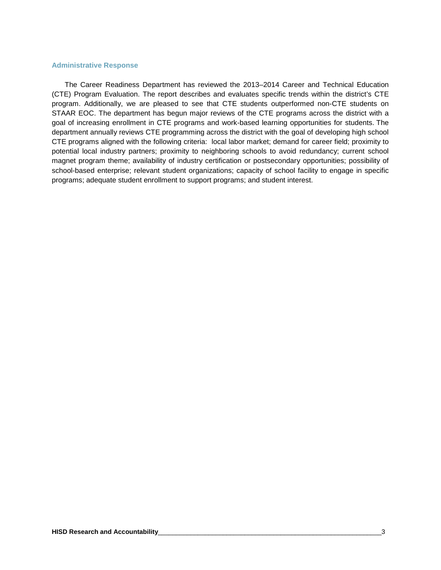#### **Administrative Response**

The Career Readiness Department has reviewed the 2013–2014 Career and Technical Education (CTE) Program Evaluation. The report describes and evaluates specific trends within the district's CTE program. Additionally, we are pleased to see that CTE students outperformed non-CTE students on STAAR EOC. The department has begun major reviews of the CTE programs across the district with a goal of increasing enrollment in CTE programs and work-based learning opportunities for students. The department annually reviews CTE programming across the district with the goal of developing high school CTE programs aligned with the following criteria: local labor market; demand for career field; proximity to potential local industry partners; proximity to neighboring schools to avoid redundancy; current school magnet program theme; availability of industry certification or postsecondary opportunities; possibility of school-based enterprise; relevant student organizations; capacity of school facility to engage in specific programs; adequate student enrollment to support programs; and student interest.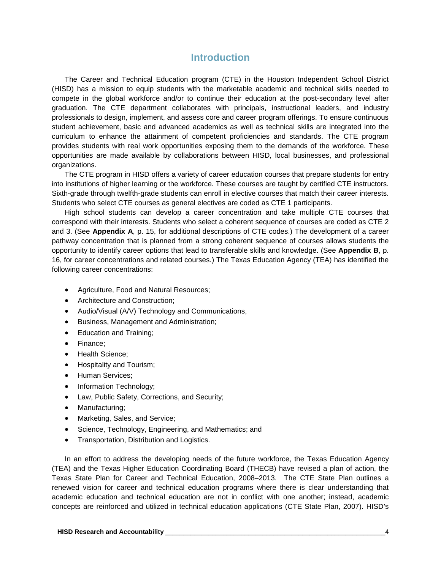# **Introduction**

The Career and Technical Education program (CTE) in the Houston Independent School District (HISD) has a mission to equip students with the marketable academic and technical skills needed to compete in the global workforce and/or to continue their education at the post-secondary level after graduation. The CTE department collaborates with principals, instructional leaders, and industry professionals to design, implement, and assess core and career program offerings. To ensure continuous student achievement, basic and advanced academics as well as technical skills are integrated into the curriculum to enhance the attainment of competent proficiencies and standards. The CTE program provides students with real work opportunities exposing them to the demands of the workforce. These opportunities are made available by collaborations between HISD, local businesses, and professional organizations.

The CTE program in HISD offers a variety of career education courses that prepare students for entry into institutions of higher learning or the workforce. These courses are taught by certified CTE instructors. Sixth-grade through twelfth-grade students can enroll in elective courses that match their career interests. Students who select CTE courses as general electives are coded as CTE 1 participants.

High school students can develop a career concentration and take multiple CTE courses that correspond with their interests. Students who select a coherent sequence of courses are coded as CTE 2 and 3. (See **Appendix A**, p. 15, for additional descriptions of CTE codes.) The development of a career pathway concentration that is planned from a strong coherent sequence of courses allows students the opportunity to identify career options that lead to transferable skills and knowledge. (See **Appendix B**, p. 16, for career concentrations and related courses.) The Texas Education Agency (TEA) has identified the following career concentrations:

- Agriculture, Food and Natural Resources;
- Architecture and Construction;
- Audio/Visual (A/V) Technology and Communications,
- Business, Management and Administration;
- Education and Training;
- Finance;
- Health Science;
- Hospitality and Tourism;
- Human Services;
- Information Technology;
- Law, Public Safety, Corrections, and Security;
- Manufacturing;
- Marketing, Sales, and Service;
- Science, Technology, Engineering, and Mathematics; and
- Transportation, Distribution and Logistics.

In an effort to address the developing needs of the future workforce, the Texas Education Agency (TEA) and the Texas Higher Education Coordinating Board (THECB) have revised a plan of action, the Texas State Plan for Career and Technical Education, 2008–2013. The CTE State Plan outlines a renewed vision for career and technical education programs where there is clear understanding that academic education and technical education are not in conflict with one another; instead, academic concepts are reinforced and utilized in technical education applications (CTE State Plan, 2007). HISD's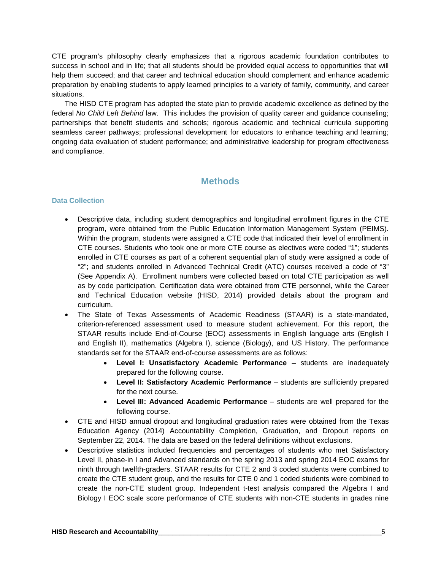CTE program's philosophy clearly emphasizes that a rigorous academic foundation contributes to success in school and in life; that all students should be provided equal access to opportunities that will help them succeed; and that career and technical education should complement and enhance academic preparation by enabling students to apply learned principles to a variety of family, community, and career situations.

The HISD CTE program has adopted the state plan to provide academic excellence as defined by the federal *No Child Left Behind* law. This includes the provision of quality career and guidance counseling; partnerships that benefit students and schools; rigorous academic and technical curricula supporting seamless career pathways; professional development for educators to enhance teaching and learning; ongoing data evaluation of student performance; and administrative leadership for program effectiveness and compliance.

# **Methods**

### **Data Collection**

- Descriptive data, including student demographics and longitudinal enrollment figures in the CTE program, were obtained from the Public Education Information Management System (PEIMS). Within the program, students were assigned a CTE code that indicated their level of enrollment in CTE courses. Students who took one or more CTE course as electives were coded "1"; students enrolled in CTE courses as part of a coherent sequential plan of study were assigned a code of "2"; and students enrolled in Advanced Technical Credit (ATC) courses received a code of "3" (See Appendix A). Enrollment numbers were collected based on total CTE participation as well as by code participation. Certification data were obtained from CTE personnel, while the Career and Technical Education website (HISD, 2014) provided details about the program and curriculum.
- The State of Texas Assessments of Academic Readiness (STAAR) is a state-mandated, criterion-referenced assessment used to measure student achievement. For this report, the STAAR results include End-of-Course (EOC) assessments in English language arts (English I and English II), mathematics (Algebra I), science (Biology), and US History. The performance standards set for the STAAR end-of-course assessments are as follows:
	- **Level I: Unsatisfactory Academic Performance**  students are inadequately prepared for the following course.
	- **Level II: Satisfactory Academic Performance**  students are sufficiently prepared for the next course.
	- **Level III: Advanced Academic Performance**  students are well prepared for the following course.
- CTE and HISD annual dropout and longitudinal graduation rates were obtained from the Texas Education Agency (2014) Accountability Completion, Graduation, and Dropout reports on September 22, 2014. The data are based on the federal definitions without exclusions.
- Descriptive statistics included frequencies and percentages of students who met Satisfactory Level II, phase-in I and Advanced standards on the spring 2013 and spring 2014 EOC exams for ninth through twelfth-graders. STAAR results for CTE 2 and 3 coded students were combined to create the CTE student group, and the results for CTE 0 and 1 coded students were combined to create the non-CTE student group. Independent t-test analysis compared the Algebra I and Biology I EOC scale score performance of CTE students with non-CTE students in grades nine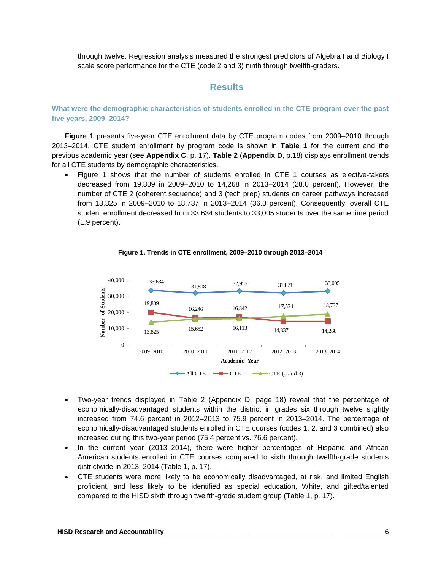through twelve. Regression analysis measured the strongest predictors of Algebra I and Biology I scale score performance for the CTE (code 2 and 3) ninth through twelfth-graders.

### **Results**

**What were the demographic characteristics of students enrolled in the CTE program over the past five years, 2009–2014?**

**Figure 1** presents five-year CTE enrollment data by CTE program codes from 2009–2010 through 2013–2014. CTE student enrollment by program code is shown in **Table 1** for the current and the previous academic year (see **Appendix C**, p. 17). **Table 2** (**Appendix D**, p.18) displays enrollment trends for all CTE students by demographic characteristics.

• Figure 1 shows that the number of students enrolled in CTE 1 courses as elective-takers decreased from 19,809 in 2009–2010 to 14,268 in 2013–2014 (28.0 percent). However, the number of CTE 2 (coherent sequence) and 3 (tech prep) students on career pathways increased from 13,825 in 2009–2010 to 18,737 in 2013–2014 (36.0 percent). Consequently, overall CTE student enrollment decreased from 33,634 students to 33,005 students over the same time period (1.9 percent).



**Figure 1. Trends in CTE enrollment, 2009–2010 through 2013–2014**

- Two-year trends displayed in Table 2 (Appendix D, page 18) reveal that the percentage of economically-disadvantaged students within the district in grades six through twelve slightly increased from 74.6 percent in 2012–2013 to 75.9 percent in 2013–2014. The percentage of economically-disadvantaged students enrolled in CTE courses (codes 1, 2, and 3 combined) also increased during this two-year period (75.4 percent vs. 76.6 percent).
- In the current year (2013–2014), there were higher percentages of Hispanic and African American students enrolled in CTE courses compared to sixth through twelfth-grade students districtwide in 2013–2014 (Table 1, p. 17).
- CTE students were more likely to be economically disadvantaged, at risk, and limited English proficient, and less likely to be identified as special education, White, and gifted/talented compared to the HISD sixth through twelfth-grade student group (Table 1, p. 17).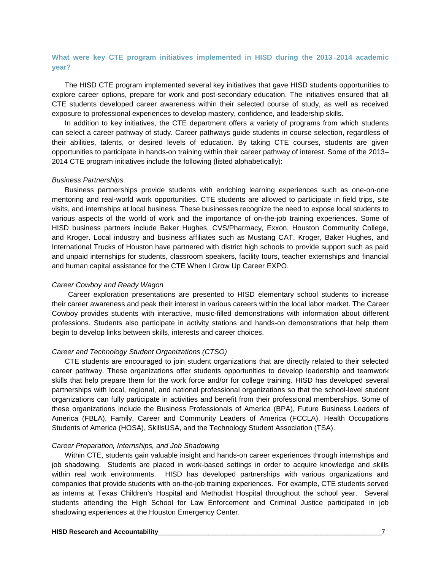### **What were key CTE program initiatives implemented in HISD during the 2013**−**2014 academic year?**

The HISD CTE program implemented several key initiatives that gave HISD students opportunities to explore career options, prepare for work and post-secondary education. The initiatives ensured that all CTE students developed career awareness within their selected course of study, as well as received exposure to professional experiences to develop mastery, confidence, and leadership skills.

In addition to key initiatives, the CTE department offers a variety of programs from which students can select a career pathway of study. Career pathways guide students in course selection, regardless of their abilities, talents, or desired levels of education. By taking CTE courses, students are given opportunities to participate in hands-on training within their career pathway of interest. Some of the 2013– 2014 CTE program initiatives include the following (listed alphabetically):

#### *Business Partnerships*

Business partnerships provide students with enriching learning experiences such as one-on-one mentoring and real-world work opportunities. CTE students are allowed to participate in field trips, site visits, and internships at local business. These businesses recognize the need to expose local students to various aspects of the world of work and the importance of on-the-job training experiences. Some of HISD business partners include Baker Hughes, CVS/Pharmacy, Exxon, Houston Community College, and Kroger. Local industry and business affiliates such as Mustang CAT, Kroger, Baker Hughes, and International Trucks of Houston have partnered with district high schools to provide support such as paid and unpaid internships for students, classroom speakers, facility tours, teacher externships and financial and human capital assistance for the CTE When I Grow Up Career EXPO.

#### *Career Cowboy and Ready Wagon*

Career exploration presentations are presented to HISD elementary school students to increase their career awareness and peak their interest in various careers within the local labor market. The Career Cowboy provides students with interactive, music-filled demonstrations with information about different professions. Students also participate in activity stations and hands-on demonstrations that help them begin to develop links between skills, interests and career choices.

#### *Career and Technology Student Organizations (CTSO)*

CTE students are encouraged to join student organizations that are directly related to their selected career pathway. These organizations offer students opportunities to develop leadership and teamwork skills that help prepare them for the work force and/or for college training. HISD has developed several partnerships with local, regional, and national professional organizations so that the school-level student organizations can fully participate in activities and benefit from their professional memberships. Some of these organizations include the Business Professionals of America (BPA), Future Business Leaders of America (FBLA), Family, Career and Community Leaders of America (FCCLA), Health Occupations Students of America (HOSA), SkillsUSA, and the Technology Student Association (TSA).

#### *Career Preparation, Internships, and Job Shadowing*

Within CTE, students gain valuable insight and hands-on career experiences through internships and job shadowing. Students are placed in work-based settings in order to acquire knowledge and skills within real work environments. HISD has developed partnerships with various organizations and companies that provide students with on-the-job training experiences. For example, CTE students served as interns at Texas Children's Hospital and Methodist Hospital throughout the school year. Several students attending the High School for Law Enforcement and Criminal Justice participated in job shadowing experiences at the Houston Emergency Center.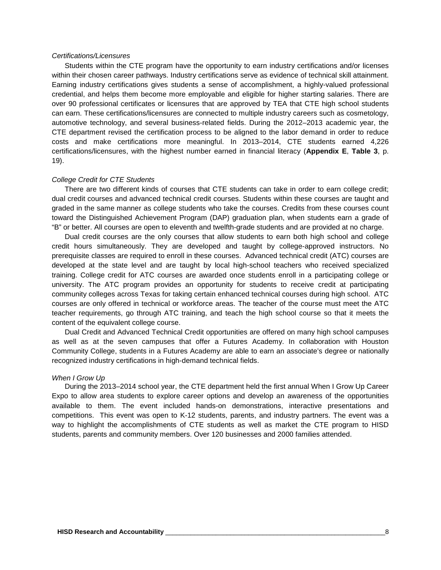#### *Certifications/Licensures*

Students within the CTE program have the opportunity to earn industry certifications and/or licenses within their chosen career pathways. Industry certifications serve as evidence of technical skill attainment. Earning industry certifications gives students a sense of accomplishment, a highly-valued professional credential, and helps them become more employable and eligible for higher starting salaries. There are over 90 professional certificates or licensures that are approved by TEA that CTE high school students can earn. These certifications/licensures are connected to multiple industry careers such as cosmetology, automotive technology, and several business-related fields. During the 2012–2013 academic year, the CTE department revised the certification process to be aligned to the labor demand in order to reduce costs and make certifications more meaningful. In 2013–2014, CTE students earned 4,226 certifications/licensures, with the highest number earned in financial literacy (**Appendix E**, **Table 3**, p. 19).

#### *College Credit for CTE Students*

There are two different kinds of courses that CTE students can take in order to earn college credit; dual credit courses and advanced technical credit courses. Students within these courses are taught and graded in the same manner as college students who take the courses. Credits from these courses count toward the Distinguished Achievement Program (DAP) graduation plan, when students earn a grade of "B" or better. All courses are open to eleventh and twelfth-grade students and are provided at no charge.

Dual credit courses are the only courses that allow students to earn both high school and college credit hours simultaneously. They are developed and taught by college-approved instructors. No prerequisite classes are required to enroll in these courses. Advanced technical credit (ATC) courses are developed at the state level and are taught by local high-school teachers who received specialized training. College credit for ATC courses are awarded once students enroll in a participating college or university. The ATC program provides an opportunity for students to receive credit at participating community colleges across Texas for taking certain enhanced technical courses during high school. ATC courses are only offered in technical or workforce areas. The teacher of the course must meet the ATC teacher requirements, go through ATC training, and teach the high school course so that it meets the content of the equivalent college course.

Dual Credit and Advanced Technical Credit opportunities are offered on many high school campuses as well as at the seven campuses that offer a Futures Academy. In collaboration with Houston Community College, students in a Futures Academy are able to earn an associate's degree or nationally recognized industry certifications in high-demand technical fields.

#### *When I Grow Up*

During the 2013–2014 school year, the CTE department held the first annual When I Grow Up Career Expo to allow area students to explore career options and develop an awareness of the opportunities available to them. The event included hands-on demonstrations, interactive presentations and competitions. This event was open to K-12 students, parents, and industry partners. The event was a way to highlight the accomplishments of CTE students as well as market the CTE program to HISD students, parents and community members. Over 120 businesses and 2000 families attended.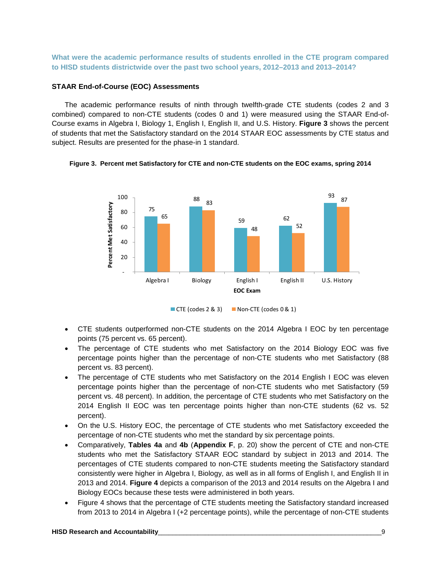**What were the academic performance results of students enrolled in the CTE program compared to HISD students districtwide over the past two school years, 2012–2013 and 2013–2014?**

#### **STAAR End-of-Course (EOC) Assessments**

The academic performance results of ninth through twelfth-grade CTE students (codes 2 and 3 combined) compared to non-CTE students (codes 0 and 1) were measured using the STAAR End-of-Course exams in Algebra I, Biology 1, English I, English II, and U.S. History. **Figure 3** shows the percent of students that met the Satisfactory standard on the 2014 STAAR EOC assessments by CTE status and subject. Results are presented for the phase-in 1 standard.





CTE (codes  $2 \& 3$ ) Non-CTE (codes  $0 \& 1$ )

- CTE students outperformed non-CTE students on the 2014 Algebra I EOC by ten percentage points (75 percent vs. 65 percent).
- The percentage of CTE students who met Satisfactory on the 2014 Biology EOC was five percentage points higher than the percentage of non-CTE students who met Satisfactory (88 percent vs. 83 percent).
- The percentage of CTE students who met Satisfactory on the 2014 English I EOC was eleven percentage points higher than the percentage of non-CTE students who met Satisfactory (59 percent vs. 48 percent). In addition, the percentage of CTE students who met Satisfactory on the 2014 English II EOC was ten percentage points higher than non-CTE students (62 vs. 52 percent).
- On the U.S. History EOC, the percentage of CTE students who met Satisfactory exceeded the percentage of non-CTE students who met the standard by six percentage points.
- Comparatively, **Tables 4a** and **4b** (**Appendix F**, p. 20) show the percent of CTE and non-CTE students who met the Satisfactory STAAR EOC standard by subject in 2013 and 2014. The percentages of CTE students compared to non-CTE students meeting the Satisfactory standard consistently were higher in Algebra I, Biology, as well as in all forms of English I, and English II in 2013 and 2014. **Figure 4** depicts a comparison of the 2013 and 2014 results on the Algebra I and Biology EOCs because these tests were administered in both years.
- Figure 4 shows that the percentage of CTE students meeting the Satisfactory standard increased from 2013 to 2014 in Algebra I (+2 percentage points), while the percentage of non-CTE students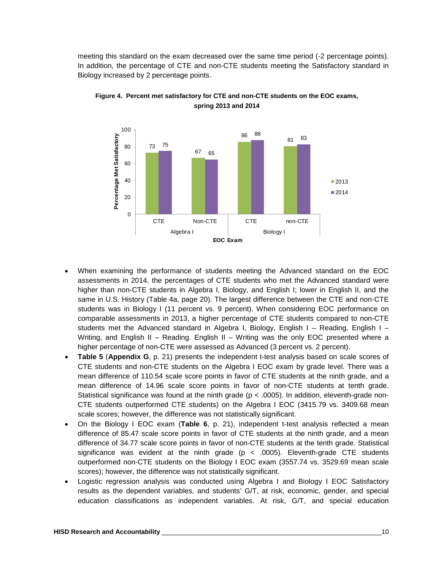meeting this standard on the exam decreased over the same time period (-2 percentage points). In addition, the percentage of CTE and non-CTE students meeting the Satisfactory standard in Biology increased by 2 percentage points.



**Figure 4. Percent met satisfactory for CTE and non-CTE students on the EOC exams, spring 2013 and 2014**

- When examining the performance of students meeting the Advanced standard on the EOC assessments in 2014, the percentages of CTE students who met the Advanced standard were higher than non-CTE students in Algebra I, Biology, and English I; lower in English II, and the same in U.S. History (Table 4a, page 20). The largest difference between the CTE and non-CTE students was in Biology I (11 percent vs. 9 percent). When considering EOC performance on comparable assessments in 2013, a higher percentage of CTE students compared to non-CTE students met the Advanced standard in Algebra I, Biology, English I – Reading, English I – Writing, and English II – Reading. English II – Writing was the only EOC presented where a higher percentage of non-CTE were assessed as Advanced (3 percent vs. 2 percent).
- **Table 5** (**Appendix G**, p. 21) presents the independent t-test analysis based on scale scores of CTE students and non-CTE students on the Algebra I EOC exam by grade level. There was a mean difference of 110.54 scale score points in favor of CTE students at the ninth grade, and a mean difference of 14.96 scale score points in favor of non-CTE students at tenth grade. Statistical significance was found at the ninth grade ( $p < .0005$ ). In addition, eleventh-grade non-CTE students outperformed CTE students) on the Algebra I EOC (3415.79 vs. 3409.68 mean scale scores; however, the difference was not statistically significant.
- On the Biology I EOC exam (**Table 6**, p. 21), independent t-test analysis reflected a mean difference of 85.47 scale score points in favor of CTE students at the ninth grade, and a mean difference of 34.77 scale score points in favor of non-CTE students at the tenth grade. Statistical significance was evident at the ninth grade  $(p < .0005)$ . Eleventh-grade CTE students outperformed non-CTE students on the Biology I EOC exam (3557.74 vs. 3529.69 mean scale scores); however, the difference was not statistically significant.
- Logistic regression analysis was conducted using Algebra I and Biology I EOC Satisfactory results as the dependent variables, and students' G/T, at risk, economic, gender, and special education classifications as independent variables. At risk, G/T, and special education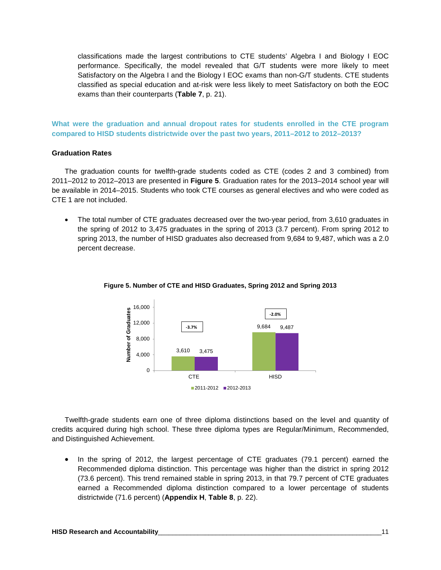classifications made the largest contributions to CTE students' Algebra I and Biology I EOC performance. Specifically, the model revealed that G/T students were more likely to meet Satisfactory on the Algebra I and the Biology I EOC exams than non-G/T students. CTE students classified as special education and at-risk were less likely to meet Satisfactory on both the EOC exams than their counterparts (**Table 7**, p. 21).

**What were the graduation and annual dropout rates for students enrolled in the CTE program compared to HISD students districtwide over the past two years, 2011–2012 to 2012–2013?**

#### **Graduation Rates**

The graduation counts for twelfth-grade students coded as CTE (codes 2 and 3 combined) from 2011–2012 to 2012–2013 are presented in **Figure 5**. Graduation rates for the 2013–2014 school year will be available in 2014–2015. Students who took CTE courses as general electives and who were coded as CTE 1 are not included.

• The total number of CTE graduates decreased over the two-year period, from 3,610 graduates in the spring of 2012 to 3,475 graduates in the spring of 2013 (3.7 percent). From spring 2012 to spring 2013, the number of HISD graduates also decreased from 9,684 to 9,487, which was a 2.0 percent decrease.



### **Figure 5. Number of CTE and HISD Graduates, Spring 2012 and Spring 2013**

Twelfth-grade students earn one of three diploma distinctions based on the level and quantity of credits acquired during high school. These three diploma types are Regular/Minimum, Recommended, and Distinguished Achievement.

• In the spring of 2012, the largest percentage of CTE graduates (79.1 percent) earned the Recommended diploma distinction. This percentage was higher than the district in spring 2012 (73.6 percent). This trend remained stable in spring 2013, in that 79.7 percent of CTE graduates earned a Recommended diploma distinction compared to a lower percentage of students districtwide (71.6 percent) (**Appendix H**, **Table 8**, p. 22).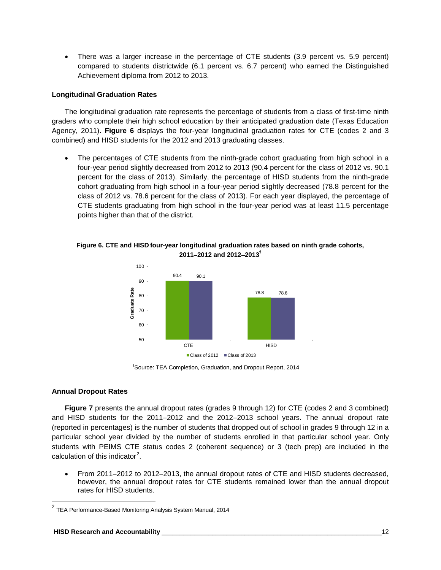There was a larger increase in the percentage of CTE students (3.9 percent vs. 5.9 percent) compared to students districtwide (6.1 percent vs. 6.7 percent) who earned the Distinguished Achievement diploma from 2012 to 2013.

### **Longitudinal Graduation Rates**

The longitudinal graduation rate represents the percentage of students from a class of first-time ninth graders who complete their high school education by their anticipated graduation date (Texas Education Agency, 2011). **Figure 6** displays the four-year longitudinal graduation rates for CTE (codes 2 and 3 combined) and HISD students for the 2012 and 2013 graduating classes.

• The percentages of CTE students from the ninth-grade cohort graduating from high school in a four-year period slightly decreased from 2012 to 2013 (90.4 percent for the class of 2012 vs. 90.1 percent for the class of 2013). Similarly, the percentage of HISD students from the ninth-grade cohort graduating from high school in a four-year period slightly decreased (78.8 percent for the class of 2012 vs. 78.6 percent for the class of 2013). For each year displayed, the percentage of CTE students graduating from high school in the four-year period was at least 11.5 percentage points higher than that of the district.



**Figure 6. CTE and HISD four-year longitudinal graduation rates based on ninth grade cohorts, 2011**−**2012 and 2012**−**2013 ϯ**

ϯ Source: TEA Completion, Graduation, and Dropout Report, 2014

### **Annual Dropout Rates**

 $\overline{a}$ 

**Figure 7** presents the annual dropout rates (grades 9 through 12) for CTE (codes 2 and 3 combined) and HISD students for the 2011−2012 and the 2012−2013 school years. The annual dropout rate (reported in percentages) is the number of students that dropped out of school in grades 9 through 12 in a particular school year divided by the number of students enrolled in that particular school year. Only students with PEIMS CTE status codes 2 (coherent sequence) or 3 (tech prep) are included in the calculation of this indicator $2$ .

• From 2011−2012 to 2012−2013, the annual dropout rates of CTE and HISD students decreased, however, the annual dropout rates for CTE students remained lower than the annual dropout rates for HISD students.

<span id="page-14-0"></span> $^{2}$  TEA Performance-Based Monitoring Analysis System Manual, 2014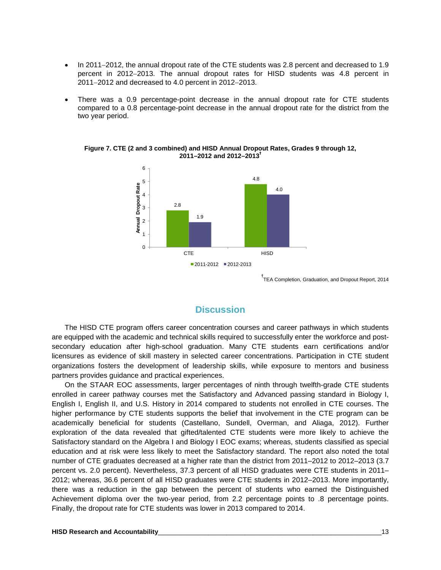- In 2011−2012, the annual dropout rate of the CTE students was 2.8 percent and decreased to 1.9 percent in 2012−2013. The annual dropout rates for HISD students was 4.8 percent in 2011−2012 and decreased to 4.0 percent in 2012−2013.
- There was a 0.9 percentage-point decrease in the annual dropout rate for CTE students compared to a 0.8 percentage-point decrease in the annual dropout rate for the district from the two year period.



**Figure 7. CTE (2 and 3 combined) and HISD Annual Dropout Rates, Grades 9 through 12, 2011–2012 and 2012–2013<sup>ϯ</sup>**

ϯ TEA Completion, Graduation, and Dropout Report, 2014

### **Discussion**

The HISD CTE program offers career concentration courses and career pathways in which students are equipped with the academic and technical skills required to successfully enter the workforce and postsecondary education after high-school graduation. Many CTE students earn certifications and/or licensures as evidence of skill mastery in selected career concentrations. Participation in CTE student organizations fosters the development of leadership skills, while exposure to mentors and business partners provides guidance and practical experiences.

On the STAAR EOC assessments, larger percentages of ninth through twelfth-grade CTE students enrolled in career pathway courses met the Satisfactory and Advanced passing standard in Biology I, English I, English II, and U.S. History in 2014 compared to students not enrolled in CTE courses. The higher performance by CTE students supports the belief that involvement in the CTE program can be academically beneficial for students (Castellano, Sundell, Overman, and Aliaga, 2012). Further exploration of the data revealed that gifted/talented CTE students were more likely to achieve the Satisfactory standard on the Algebra I and Biology I EOC exams; whereas, students classified as special education and at risk were less likely to meet the Satisfactory standard. The report also noted the total number of CTE graduates decreased at a higher rate than the district from 2011–2012 to 2012–2013 (3.7 percent vs. 2.0 percent). Nevertheless, 37.3 percent of all HISD graduates were CTE students in 2011– 2012; whereas, 36.6 percent of all HISD graduates were CTE students in 2012–2013. More importantly, there was a reduction in the gap between the percent of students who earned the Distinguished Achievement diploma over the two-year period, from 2.2 percentage points to .8 percentage points. Finally, the dropout rate for CTE students was lower in 2013 compared to 2014.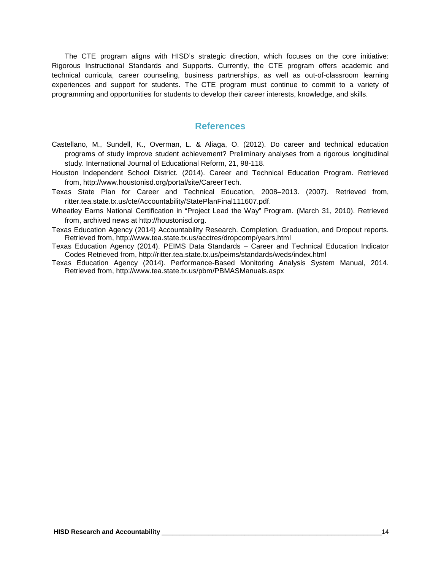The CTE program aligns with HISD's strategic direction, which focuses on the core initiative: Rigorous Instructional Standards and Supports. Currently, the CTE program offers academic and technical curricula, career counseling, business partnerships, as well as out-of-classroom learning experiences and support for students. The CTE program must continue to commit to a variety of programming and opportunities for students to develop their career interests, knowledge, and skills.

### **References**

- Castellano, M., Sundell, K., Overman, L. & Aliaga, O. (2012). Do career and technical education programs of study improve student achievement? Preliminary analyses from a rigorous longitudinal study. International Journal of Educational Reform, 21, 98-118.
- Houston Independent School District. (2014). Career and Technical Education Program. Retrieved from, [http://www.houstonisd.org/portal/site/CareerTech.](http://www.houstonisd.org/portal/site/CareerTech)
- Texas State Plan for Career and Technical Education, 2008–2013. (2007). Retrieved from, ritter.tea.state.tx.us/cte/Accountability/StatePlanFinal111607.pdf.
- Wheatley Earns National Certification in "Project Lead the Way" Program. (March 31, 2010). Retrieved from, archived news at [http://houstonisd.org.](http://houstonisd.org/)
- Texas Education Agency (2014) Accountability Research. Completion, Graduation, and Dropout reports. Retrieved from, http://www.tea.state.tx.us/acctres/dropcomp/years.html
- Texas Education Agency (2014). PEIMS Data Standards Career and Technical Education Indicator Codes Retrieved from,<http://ritter.tea.state.tx.us/peims/standards/weds/index.html>
- Texas Education Agency (2014). Performance-Based Monitoring Analysis System Manual, 2014. Retrieved from, [http://www.](http://www/)tea.state.tx.us/pbm/PBMASManuals.aspx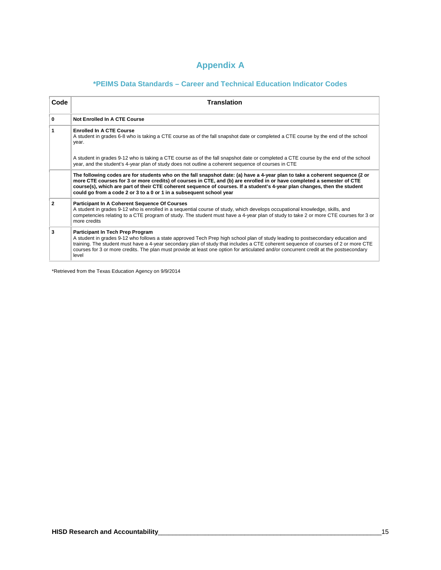# **Appendix A**

# **\*PEIMS Data Standards – Career and Technical Education Indicator Codes**

| Code           | <b>Translation</b>                                                                                                                                                                                                                                                                                                                                                                                                                                            |
|----------------|---------------------------------------------------------------------------------------------------------------------------------------------------------------------------------------------------------------------------------------------------------------------------------------------------------------------------------------------------------------------------------------------------------------------------------------------------------------|
|                |                                                                                                                                                                                                                                                                                                                                                                                                                                                               |
| 0              | Not Enrolled In A CTE Course                                                                                                                                                                                                                                                                                                                                                                                                                                  |
| 1              | <b>Enrolled In A CTE Course</b><br>A student in grades 6-8 who is taking a CTE course as of the fall snapshot date or completed a CTE course by the end of the school<br>year.                                                                                                                                                                                                                                                                                |
|                | A student in grades 9-12 who is taking a CTE course as of the fall snapshot date or completed a CTE course by the end of the school<br>year, and the student's 4-year plan of study does not outline a coherent sequence of courses in CTE                                                                                                                                                                                                                    |
|                | The following codes are for students who on the fall snapshot date: (a) have a 4-year plan to take a coherent sequence (2 or<br>more CTE courses for 3 or more credits) of courses in CTE, and (b) are enrolled in or have completed a semester of CTE<br>course(s), which are part of their CTE coherent sequence of courses. If a student's 4-year plan changes, then the student<br>could go from a code 2 or 3 to a 0 or 1 in a subsequent school year    |
| $\overline{2}$ | Participant In A Coherent Sequence Of Courses<br>A student in grades 9-12 who is enrolled in a sequential course of study, which develops occupational knowledge, skills, and<br>competencies relating to a CTE program of study. The student must have a 4-year plan of study to take 2 or more CTE courses for 3 or<br>more credits                                                                                                                         |
| 3              | Participant In Tech Prep Program<br>A student in grades 9-12 who follows a state approved Tech Prep high school plan of study leading to postsecondary education and<br>training. The student must have a 4-year secondary plan of study that includes a CTE coherent sequence of courses of 2 or more CTE<br>courses for 3 or more credits. The plan must provide at least one option for articulated and/or concurrent credit at the postsecondary<br>level |

\*Retrieved from the Texas Education Agency on 9/9/2014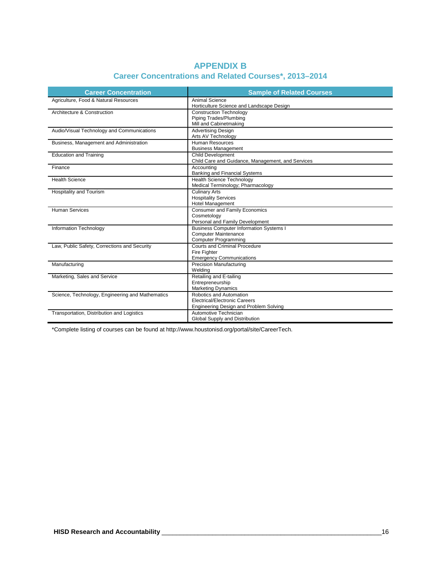| <b>APPENDIX B</b>                                            |  |  |  |  |  |  |
|--------------------------------------------------------------|--|--|--|--|--|--|
| <b>Career Concentrations and Related Courses*, 2013-2014</b> |  |  |  |  |  |  |

| <b>Career Concentration</b>                      | <b>Sample of Related Courses</b>                  |
|--------------------------------------------------|---------------------------------------------------|
| Agriculture, Food & Natural Resources            | <b>Animal Science</b>                             |
|                                                  | Horticulture Science and Landscape Design         |
| Architecture & Construction                      | <b>Construction Technology</b>                    |
|                                                  | Piping Trades/Plumbing                            |
|                                                  | Mill and Cabinetmaking                            |
| Audio/Visual Technology and Communications       | <b>Advertising Design</b>                         |
|                                                  | Arts AV Technology                                |
| Business, Management and Administration          | Human Resources                                   |
|                                                  | <b>Business Management</b>                        |
| <b>Education and Training</b>                    | <b>Child Development</b>                          |
|                                                  | Child Care and Guidance, Management, and Services |
| Finance                                          | Accountina                                        |
|                                                  | Banking and Financial Systems                     |
| <b>Health Science</b>                            | <b>Health Science Technology</b>                  |
|                                                  | Medical Terminology; Pharmacology                 |
| Hospitality and Tourism                          | <b>Culinary Arts</b>                              |
|                                                  | <b>Hospitality Services</b>                       |
|                                                  | Hotel Management                                  |
| <b>Human Services</b>                            | <b>Consumer and Family Economics</b>              |
|                                                  | Cosmetology                                       |
|                                                  | Personal and Family Development                   |
| Information Technology                           | <b>Business Computer Information Systems I</b>    |
|                                                  | <b>Computer Maintenance</b>                       |
|                                                  | <b>Computer Programming</b>                       |
| Law, Public Safety, Corrections and Security     | Courts and Criminal Procedure                     |
|                                                  | Fire Fighter                                      |
|                                                  | <b>Emergency Communications</b>                   |
| Manufacturing                                    | <b>Precision Manufacturing</b>                    |
|                                                  | Welding                                           |
| Marketing, Sales and Service                     | Retailing and E-tailing                           |
|                                                  | Entrepreneurship                                  |
|                                                  | <b>Marketing Dynamics</b>                         |
| Science, Technology, Engineering and Mathematics | Robotics and Automation                           |
|                                                  | <b>Electrical/Electronic Careers</b>              |
|                                                  | Engineering Design and Problem Solving            |
| Transportation, Distribution and Logistics       | Automotive Technician                             |
|                                                  | Global Supply and Distribution                    |

\*Complete listing of courses can be found at [http://www.houstonisd.org/portal/site/CareerTech.](http://www.houstonisd.org/portal/site/CareerTech)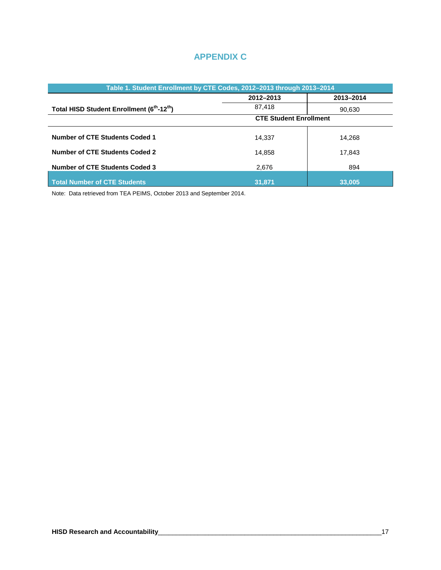# **APPENDIX C**

| Table 1. Student Enrollment by CTE Codes, 2012-2013 through 2013-2014 |                               |        |  |  |  |  |
|-----------------------------------------------------------------------|-------------------------------|--------|--|--|--|--|
|                                                                       | 2012-2013<br>2013-2014        |        |  |  |  |  |
| Total HISD Student Enrollment (6 <sup>th</sup> -12 <sup>th</sup> )    | 87,418                        | 90,630 |  |  |  |  |
|                                                                       | <b>CTE Student Enrollment</b> |        |  |  |  |  |
| Number of CTE Students Coded 1                                        | 14.337                        | 14,268 |  |  |  |  |
| Number of CTE Students Coded 2                                        | 14.858                        | 17,843 |  |  |  |  |
| <b>Number of CTE Students Coded 3</b>                                 | 2,676                         | 894    |  |  |  |  |
| Total Number of CTE Students                                          | 31,871                        | 33,005 |  |  |  |  |

Note: Data retrieved from TEA PEIMS, October 2013 and September 2014.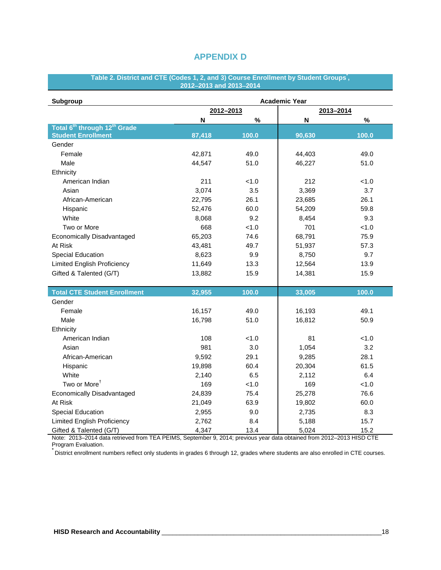# **APPENDIX D**

| Table 2. District and CTE (Codes 1, 2, and 3) Course Enrollment by Student Groups , |
|-------------------------------------------------------------------------------------|
| 2012–2013 and 2013–2014                                                             |

| Subgroup                                             | <b>Academic Year</b> |       |           |       |  |  |  |
|------------------------------------------------------|----------------------|-------|-----------|-------|--|--|--|
|                                                      | 2012-2013            |       | 2013-2014 |       |  |  |  |
|                                                      | N                    | $\%$  | N         | $\%$  |  |  |  |
| Total 6 <sup>th</sup> through 12 <sup>th</sup> Grade |                      |       |           |       |  |  |  |
| <b>Student Enrollment</b>                            | 87,418               | 100.0 | 90,630    | 100.0 |  |  |  |
| Gender                                               |                      |       |           |       |  |  |  |
| Female                                               | 42,871               | 49.0  | 44,403    | 49.0  |  |  |  |
| Male                                                 | 44,547               | 51.0  | 46,227    | 51.0  |  |  |  |
| Ethnicity                                            |                      |       |           |       |  |  |  |
| American Indian                                      | 211                  | < 1.0 | 212       | < 1.0 |  |  |  |
| Asian                                                | 3,074                | 3.5   | 3,369     | 3.7   |  |  |  |
| African-American                                     | 22,795               | 26.1  | 23,685    | 26.1  |  |  |  |
| Hispanic                                             | 52,476               | 60.0  | 54,209    | 59.8  |  |  |  |
| White                                                | 8,068                | 9.2   | 8,454     | 9.3   |  |  |  |
| Two or More                                          | 668                  | < 1.0 | 701       | < 1.0 |  |  |  |
| Economically Disadvantaged                           | 65,203               | 74.6  | 68,791    | 75.9  |  |  |  |
| At Risk                                              | 43,481               | 49.7  | 51,937    | 57.3  |  |  |  |
| <b>Special Education</b>                             | 8,623                | 9.9   | 8,750     | 9.7   |  |  |  |
| <b>Limited English Proficiency</b>                   | 11,649               | 13.3  | 12,564    | 13.9  |  |  |  |
| Gifted & Talented (G/T)                              | 13,882               | 15.9  | 14,381    | 15.9  |  |  |  |
|                                                      |                      |       |           |       |  |  |  |
| <b>Total CTE Student Enrollment</b>                  | 32,955               | 100.0 | 33,005    | 100.0 |  |  |  |
| Gender                                               |                      |       |           |       |  |  |  |
| Female                                               | 16,157               | 49.0  | 16,193    | 49.1  |  |  |  |
| Male                                                 | 16,798               | 51.0  | 16,812    | 50.9  |  |  |  |
| Ethnicity                                            |                      |       |           |       |  |  |  |
| American Indian                                      | 108                  | 1.0   | 81        | < 1.0 |  |  |  |
| Asian                                                | 981                  | 3.0   | 1,054     | 3.2   |  |  |  |
| African-American                                     | 9,592                | 29.1  | 9,285     | 28.1  |  |  |  |
| Hispanic                                             | 19,898               | 60.4  | 20,304    | 61.5  |  |  |  |
| White                                                | 2,140                | 6.5   | 2,112     | 6.4   |  |  |  |
| Two or More <sup>†</sup>                             | 169                  | 1.0   | 169       | < 1.0 |  |  |  |
| Economically Disadvantaged                           | 24,839               | 75.4  | 25,278    | 76.6  |  |  |  |
| At Risk                                              | 21,049               | 63.9  | 19,802    | 60.0  |  |  |  |
| <b>Special Education</b>                             | 2,955                | 9.0   | 2,735     | 8.3   |  |  |  |
| <b>Limited English Proficiency</b>                   | 2,762                | 8.4   | 5,188     | 15.7  |  |  |  |
| Gifted & Talented (G/T)                              | 4,347                | 13.4  | 5,024     | 15.2  |  |  |  |

Note: 2013–2014 data retrieved from TEA PEIMS, September 9, 2014; previous year data obtained from 2012–2013 HISD CTE Program Evaluation.<br>^District.cr.rallmant.c

District enrollment numbers reflect only students in grades 6 through 12, grades where students are also enrolled in CTE courses.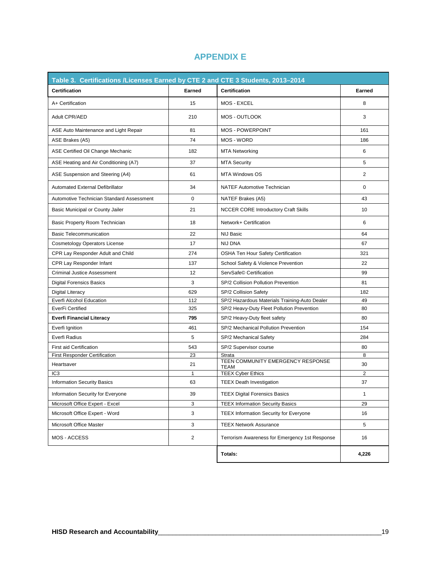| Table 3. Certifications /Licenses Earned by CTE 2 and CTE 3 Students, 2013-2014 |                |                                                  |               |
|---------------------------------------------------------------------------------|----------------|--------------------------------------------------|---------------|
| <b>Certification</b>                                                            | Earned         | <b>Certification</b>                             | <b>Earned</b> |
| A+ Certification                                                                | 15             | MOS - EXCEL                                      | 8             |
| Adult CPR/AED                                                                   | 210            | MOS - OUTLOOK                                    | 3             |
| ASE Auto Maintenance and Light Repair                                           | 81             | <b>MOS - POWERPOINT</b>                          | 161           |
| ASE Brakes (A5)                                                                 | 74             | MOS - WORD                                       | 186           |
| ASE Certified Oil Change Mechanic                                               | 182            | <b>MTA Networking</b>                            | 6             |
| ASE Heating and Air Conditioning (A7)                                           | 37             | <b>MTA Security</b>                              | 5             |
| ASE Suspension and Steering (A4)                                                | 61             | <b>MTA Windows OS</b>                            | 2             |
| <b>Automated External Defibrillator</b>                                         | 34             | <b>NATEF Automotive Technician</b>               | 0             |
| Automotive Technician Standard Assessment                                       | 0              | NATEF Brakes (A5)                                | 43            |
| Basic Municipal or County Jailer                                                | 21             | <b>NCCER CORE Introductory Craft Skills</b>      | 10            |
| Basic Property Room Technician                                                  | 18             | Network+ Certification                           | 6             |
| <b>Basic Telecommunication</b>                                                  | 22             | <b>NIJ Basic</b>                                 | 64            |
| <b>Cosmetology Operators License</b>                                            | 17             | <b>NIJ DNA</b>                                   | 67            |
| CPR Lay Responder Adult and Child                                               | 274            | OSHA Ten Hour Safety Certification               | 321           |
| CPR Lay Responder Infant                                                        | 137            | School Safety & Violence Prevention              | 22            |
| <b>Criminal Justice Assessment</b>                                              | 12             | ServSafe© Certification                          | 99            |
| <b>Digital Forensics Basics</b>                                                 | 3              | SP/2 Collision Pollution Prevention              | 81            |
| Digital Literacy                                                                | 629            | SP/2 Collision Safety                            | 182           |
| Everfi Alcohol Education                                                        | 112            | SP/2 Hazardous Materials Training-Auto Dealer    | 49            |
| EverFi Certified                                                                | 325            | SP/2 Heavy-Duty Fleet Pollution Prevention       | 80            |
| <b>Everfi Financial Literacy</b>                                                | 795            | SP/2 Heavy-Duty fleet safety                     | 80            |
| Everfi Ignition                                                                 | 461            | SP/2 Mechanical Pollution Prevention             | 154           |
| Everfi Radius                                                                   | 5              | SP/2 Mechanical Safety                           | 284           |
| <b>First aid Certification</b>                                                  | 543            | SP/2 Supervisor course                           | 80            |
| <b>First Responder Certification</b>                                            | 23             | Strata                                           | 8             |
| Heartsaver                                                                      | 21             | TEEN COMMUNITY EMERGENCY RESPONSE<br><b>TEAM</b> | 30            |
| IC <sub>3</sub>                                                                 | 1              | <b>TEEX Cyber Ethics</b>                         | 2             |
| <b>Information Security Basics</b>                                              | 63             | <b>TEEX Death Investigation</b>                  | 37            |
| Information Security for Everyone                                               | 39             | <b>TEEX Digital Forensics Basics</b>             |               |
| Microsoft Office Expert - Excel                                                 | 3              | <b>TEEX Information Security Basics</b>          | 29            |
| Microsoft Office Expert - Word                                                  | 3              | TEEX Information Security for Everyone           | 16            |
| Microsoft Office Master                                                         | 3              | <b>TEEX Network Assurance</b>                    | 5             |
| MOS - ACCESS                                                                    | $\overline{2}$ | Terrorism Awareness for Emergency 1st Response   | 16            |
|                                                                                 |                | Totals:                                          | 4,226         |

# **APPENDIX E**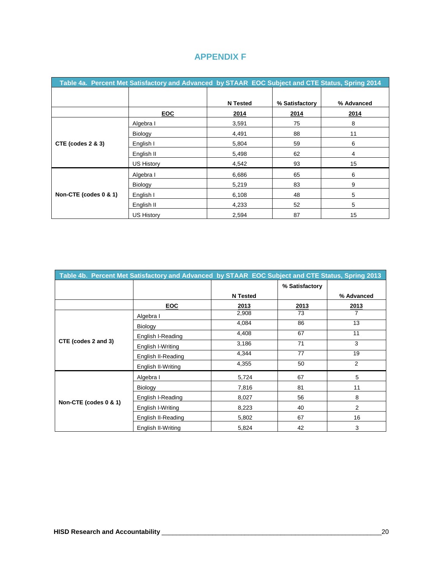| Table 4a. Percent Met Satisfactory and Advanced by STAAR EOC Subject and CTE Status, Spring 2014 |                   |                 |                |            |  |  |  |
|--------------------------------------------------------------------------------------------------|-------------------|-----------------|----------------|------------|--|--|--|
|                                                                                                  |                   |                 |                |            |  |  |  |
|                                                                                                  |                   | <b>N</b> Tested | % Satisfactory | % Advanced |  |  |  |
|                                                                                                  | <b>EOC</b>        | 2014            | 2014           | 2014       |  |  |  |
|                                                                                                  | Algebra I         | 3,591           | 75             | 8          |  |  |  |
|                                                                                                  | Biology           | 4,491           | 88             | 11         |  |  |  |
| CTE (codes $2 \& 3$ )                                                                            | English I         | 5,804           | 59             | 6          |  |  |  |
|                                                                                                  | English II        | 5,498           | 62             | 4          |  |  |  |
|                                                                                                  | US History        | 4,542           | 93             | 15         |  |  |  |
|                                                                                                  | Algebra I         | 6,686           | 65             | 6          |  |  |  |
|                                                                                                  | <b>Biology</b>    | 5,219           | 83             | 9          |  |  |  |
| Non-CTE (codes 0 & 1)                                                                            | English I         | 6,108           | 48             | 5          |  |  |  |
|                                                                                                  | English II        | 4,233           | 52             | 5          |  |  |  |
|                                                                                                  | <b>US History</b> | 2,594           | 87             | 15         |  |  |  |

# **APPENDIX F**

| Table 4b. Percent Met Satisfactory and Advanced by STAAR EOC Subject and CTE Status, Spring 2013 |                    |                 |                |                |  |  |
|--------------------------------------------------------------------------------------------------|--------------------|-----------------|----------------|----------------|--|--|
|                                                                                                  |                    |                 | % Satisfactory |                |  |  |
|                                                                                                  |                    | <b>N</b> Tested |                | % Advanced     |  |  |
|                                                                                                  | EOC                | 2013            | 2013           | 2013           |  |  |
|                                                                                                  | Algebra I          | 2,908           | 73             |                |  |  |
|                                                                                                  | Biology            | 4,084           | 86             | 13             |  |  |
|                                                                                                  | English I-Reading  | 4,408           | 67             | 11             |  |  |
| CTE (codes 2 and 3)                                                                              | English I-Writing  | 3,186           | 71             | 3              |  |  |
|                                                                                                  | English II-Reading | 4,344           | 77             | 19             |  |  |
|                                                                                                  | English II-Writing | 4,355           | 50             | $\overline{2}$ |  |  |
|                                                                                                  | Algebra I          | 5,724           | 67             | 5              |  |  |
|                                                                                                  | Biology            | 7,816           | 81             | 11             |  |  |
|                                                                                                  | English I-Reading  | 8,027           | 56             | 8              |  |  |
| Non-CTE (codes 0 & 1)                                                                            | English I-Writing  | 8,223           | 40             | $\overline{2}$ |  |  |
|                                                                                                  | English II-Reading | 5,802           | 67             | 16             |  |  |
|                                                                                                  | English II-Writing | 5,824           | 42             | 3              |  |  |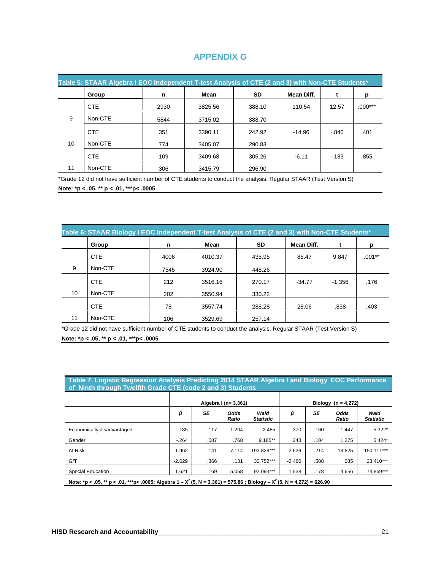# **APPENDIX G**

| Table 5: STAAR Algebra I EOC Independent T-test Analysis of CTE (2 and 3) with Non-CTE Students* |            |      |         |           |            |         |           |  |
|--------------------------------------------------------------------------------------------------|------------|------|---------|-----------|------------|---------|-----------|--|
|                                                                                                  | Group      | n    | Mean    | <b>SD</b> | Mean Diff. |         | p         |  |
|                                                                                                  | <b>CTE</b> | 2930 | 3825.56 | 388.10    | 110.54     | 12.57   | $.000***$ |  |
| 9                                                                                                | Non-CTE    | 5844 | 3715.02 | 388.70    |            |         |           |  |
|                                                                                                  | <b>CTE</b> | 351  | 3390.11 | 242.92    | $-14.96$   | $-.840$ | .401      |  |
| 10                                                                                               | Non-CTE    | 774  | 3405.07 | 290.83    |            |         |           |  |
|                                                                                                  | <b>CTE</b> | 109  | 3409.68 | 305.26    | $-6.11$    | $-183$  | .855      |  |
| 11                                                                                               | Non-CTE    | 306  | 3415.79 | 296.90    |            |         |           |  |

\*Grade 12 did not have sufficient number of CTE students to conduct the analysis. Regular STAAR (Test Version S)

**Note: \*p < .05, \*\* p < .01, \*\*\*p< .0005**

| Table 6: STAAR Biology I EOC Independent T-test Analysis of CTE (2 and 3) with Non-CTE Students* |            |      |         |           |            |        |          |  |
|--------------------------------------------------------------------------------------------------|------------|------|---------|-----------|------------|--------|----------|--|
|                                                                                                  | Group      | n    | Mean    | <b>SD</b> | Mean Diff. |        | n        |  |
|                                                                                                  | <b>CTE</b> | 4006 | 4010.37 | 435.95    | 85.47      | 9.847  | $.001**$ |  |
| 9                                                                                                | Non-CTE    | 7545 | 3924.90 | 448.26    |            |        |          |  |
|                                                                                                  | <b>CTE</b> | 212  | 3516.16 | 270.17    | $-34.77$   | -1.356 | .176     |  |
| 10                                                                                               | Non-CTE    | 202  | 3550.94 | 330.22    |            |        |          |  |
|                                                                                                  | <b>CTE</b> | 78   | 3557.74 | 288.28    | 28.06      | .838   | .403     |  |
| 11                                                                                               | Non-CTE    | 106  | 3529.69 | 257.14    |            |        |          |  |

\*Grade 12 did not have sufficient number of CTE students to conduct the analysis. Regular STAAR (Test Version S) **Note: \*p < .05, \*\* p < .01, \*\*\*p< .0005**

#### **Table 7. Logistic Regression Analysis Predicting 2014 STAAR Algebra I and Biology EOC Performance of Ninth through Twelfth Grade CTE (code 2 and 3) Students**

|                                                                                                                              | Algebra I (n= 3,361) |      |               |                          | Biology $(n = 4.272)$ |      |               |                          |
|------------------------------------------------------------------------------------------------------------------------------|----------------------|------|---------------|--------------------------|-----------------------|------|---------------|--------------------------|
|                                                                                                                              | β                    | SE   | Odds<br>Ratio | Wald<br><b>Statistic</b> | β                     | SE   | Odds<br>Ratio | Wald<br><b>Statistic</b> |
| Economically disadvantaged                                                                                                   | .185                 | .117 | 1.204         | 2.485                    | $-370$                | .160 | 1.447         | $5.322*$                 |
| Gender                                                                                                                       | $-264$               | .087 | .768          | $9.185**$                | .243                  | .104 | 1.275         | $5.424*$                 |
| At Risk                                                                                                                      | 1.962                | .141 | 7.114         | 193.829***               | 2.626                 | .214 | 13.825        | 150.111***               |
| G/T                                                                                                                          | $-2.029$             | .366 | .131          | 30.752***                | $-2.460$              | .508 | .085          | 23.410***                |
| Special Education                                                                                                            | 1.621                | .169 | 5.058         | 92.093***                | 1.538                 | .178 | 4.656         | 74.869***                |
| Note: *p < .05, ** p < .01, ***p< .0005; Algebra 1 - $X^2$ (5, N = 3,361) = 575.86 ; Biology - $X^2$ (5, N = 4,272) = 626.90 |                      |      |               |                          |                       |      |               |                          |